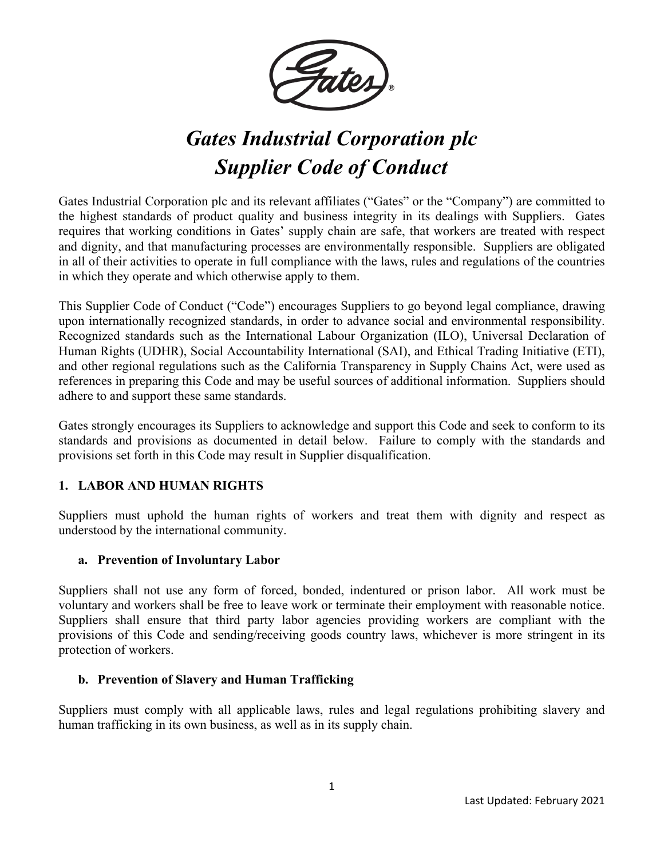

# *Gates Industrial Corporation plc Supplier Code of Conduct*

Gates Industrial Corporation plc and its relevant affiliates ("Gates" or the "Company") are committed to the highest standards of product quality and business integrity in its dealings with Suppliers. Gates requires that working conditions in Gates' supply chain are safe, that workers are treated with respect and dignity, and that manufacturing processes are environmentally responsible. Suppliers are obligated in all of their activities to operate in full compliance with the laws, rules and regulations of the countries in which they operate and which otherwise apply to them.

This Supplier Code of Conduct ("Code") encourages Suppliers to go beyond legal compliance, drawing upon internationally recognized standards, in order to advance social and environmental responsibility. Recognized standards such as the International Labour Organization (ILO), Universal Declaration of Human Rights (UDHR), Social Accountability International (SAI), and Ethical Trading Initiative (ETI), and other regional regulations such as the California Transparency in Supply Chains Act, were used as references in preparing this Code and may be useful sources of additional information. Suppliers should adhere to and support these same standards.

Gates strongly encourages its Suppliers to acknowledge and support this Code and seek to conform to its standards and provisions as documented in detail below. Failure to comply with the standards and provisions set forth in this Code may result in Supplier disqualification.

# **1. LABOR AND HUMAN RIGHTS**

Suppliers must uphold the human rights of workers and treat them with dignity and respect as understood by the international community.

# **a. Prevention of Involuntary Labor**

Suppliers shall not use any form of forced, bonded, indentured or prison labor. All work must be voluntary and workers shall be free to leave work or terminate their employment with reasonable notice. Suppliers shall ensure that third party labor agencies providing workers are compliant with the provisions of this Code and sending/receiving goods country laws, whichever is more stringent in its protection of workers.

#### **b. Prevention of Slavery and Human Trafficking**

Suppliers must comply with all applicable laws, rules and legal regulations prohibiting slavery and human trafficking in its own business, as well as in its supply chain.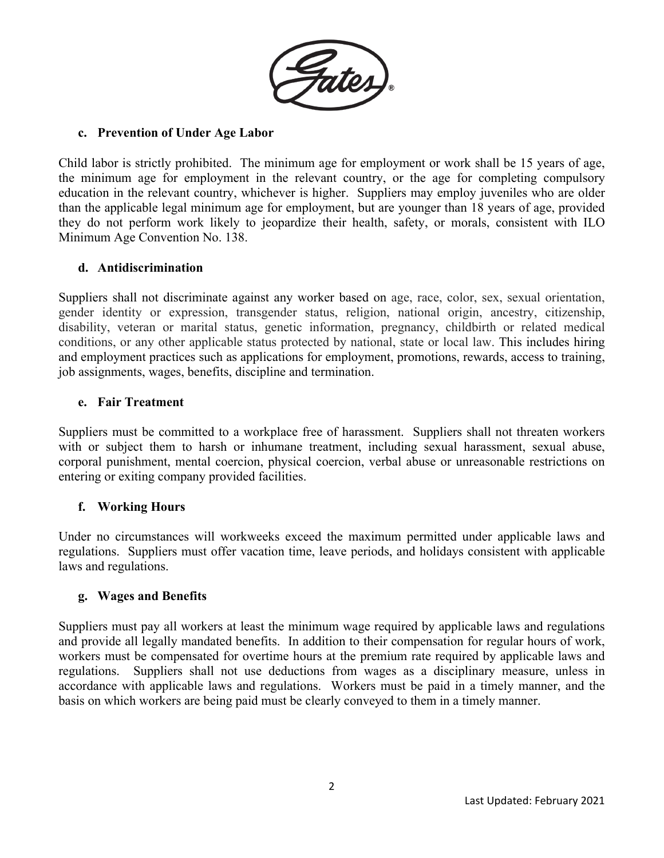

## **c. Prevention of Under Age Labor**

Child labor is strictly prohibited. The minimum age for employment or work shall be 15 years of age, the minimum age for employment in the relevant country, or the age for completing compulsory education in the relevant country, whichever is higher. Suppliers may employ juveniles who are older than the applicable legal minimum age for employment, but are younger than 18 years of age, provided they do not perform work likely to jeopardize their health, safety, or morals, consistent with ILO Minimum Age Convention No. 138.

#### **d. Antidiscrimination**

Suppliers shall not discriminate against any worker based on age, race, color, sex, sexual orientation, gender identity or expression, transgender status, religion, national origin, ancestry, citizenship, disability, veteran or marital status, genetic information, pregnancy, childbirth or related medical conditions, or any other applicable status protected by national, state or local law. This includes hiring and employment practices such as applications for employment, promotions, rewards, access to training, job assignments, wages, benefits, discipline and termination.

#### **e. Fair Treatment**

Suppliers must be committed to a workplace free of harassment. Suppliers shall not threaten workers with or subject them to harsh or inhumane treatment, including sexual harassment, sexual abuse, corporal punishment, mental coercion, physical coercion, verbal abuse or unreasonable restrictions on entering or exiting company provided facilities.

# **f. Working Hours**

Under no circumstances will workweeks exceed the maximum permitted under applicable laws and regulations. Suppliers must offer vacation time, leave periods, and holidays consistent with applicable laws and regulations.

#### **g. Wages and Benefits**

Suppliers must pay all workers at least the minimum wage required by applicable laws and regulations and provide all legally mandated benefits. In addition to their compensation for regular hours of work, workers must be compensated for overtime hours at the premium rate required by applicable laws and regulations. Suppliers shall not use deductions from wages as a disciplinary measure, unless in accordance with applicable laws and regulations. Workers must be paid in a timely manner, and the basis on which workers are being paid must be clearly conveyed to them in a timely manner.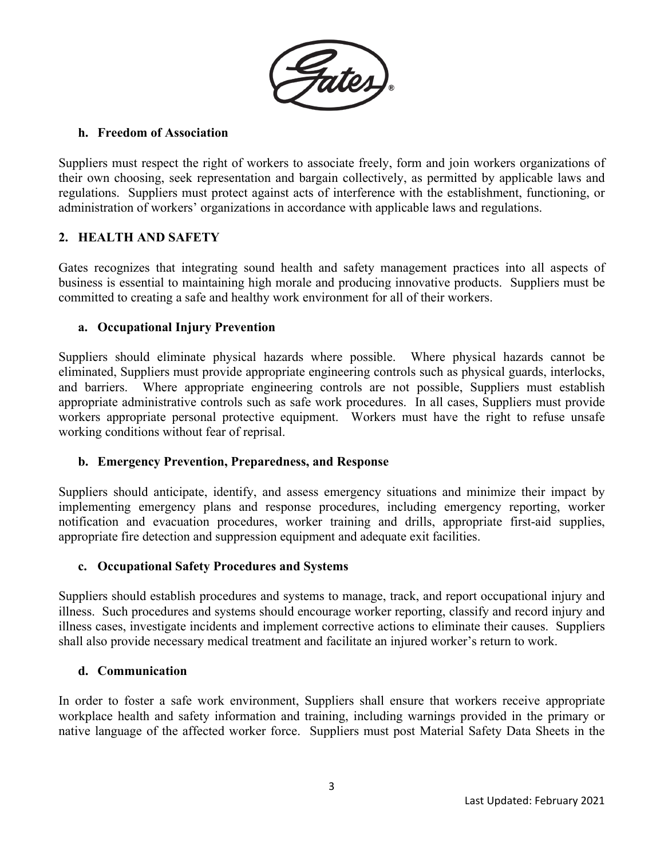

## **h. Freedom of Association**

Suppliers must respect the right of workers to associate freely, form and join workers organizations of their own choosing, seek representation and bargain collectively, as permitted by applicable laws and regulations. Suppliers must protect against acts of interference with the establishment, functioning, or administration of workers' organizations in accordance with applicable laws and regulations.

## **2. HEALTH AND SAFETY**

Gates recognizes that integrating sound health and safety management practices into all aspects of business is essential to maintaining high morale and producing innovative products. Suppliers must be committed to creating a safe and healthy work environment for all of their workers.

## **a. Occupational Injury Prevention**

Suppliers should eliminate physical hazards where possible. Where physical hazards cannot be eliminated, Suppliers must provide appropriate engineering controls such as physical guards, interlocks, and barriers. Where appropriate engineering controls are not possible, Suppliers must establish appropriate administrative controls such as safe work procedures. In all cases, Suppliers must provide workers appropriate personal protective equipment. Workers must have the right to refuse unsafe working conditions without fear of reprisal.

#### **b. Emergency Prevention, Preparedness, and Response**

Suppliers should anticipate, identify, and assess emergency situations and minimize their impact by implementing emergency plans and response procedures, including emergency reporting, worker notification and evacuation procedures, worker training and drills, appropriate first-aid supplies, appropriate fire detection and suppression equipment and adequate exit facilities.

#### **c. Occupational Safety Procedures and Systems**

Suppliers should establish procedures and systems to manage, track, and report occupational injury and illness. Such procedures and systems should encourage worker reporting, classify and record injury and illness cases, investigate incidents and implement corrective actions to eliminate their causes. Suppliers shall also provide necessary medical treatment and facilitate an injured worker's return to work.

#### **d. Communication**

In order to foster a safe work environment, Suppliers shall ensure that workers receive appropriate workplace health and safety information and training, including warnings provided in the primary or native language of the affected worker force. Suppliers must post Material Safety Data Sheets in the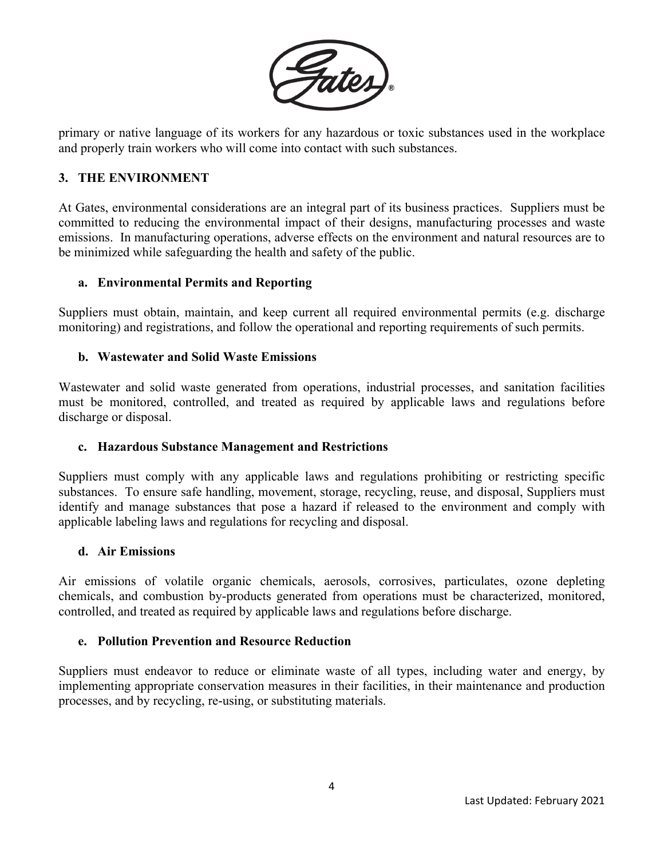

primary or native language of its workers for any hazardous or toxic substances used in the workplace and properly train workers who will come into contact with such substances.

## **3. THE ENVIRONMENT**

At Gates, environmental considerations are an integral part of its business practices. Suppliers must be committed to reducing the environmental impact of their designs, manufacturing processes and waste emissions. In manufacturing operations, adverse effects on the environment and natural resources are to be minimized while safeguarding the health and safety of the public.

#### **a. Environmental Permits and Reporting**

Suppliers must obtain, maintain, and keep current all required environmental permits (e.g. discharge monitoring) and registrations, and follow the operational and reporting requirements of such permits.

#### **b. Wastewater and Solid Waste Emissions**

Wastewater and solid waste generated from operations, industrial processes, and sanitation facilities must be monitored, controlled, and treated as required by applicable laws and regulations before discharge or disposal.

#### **c. Hazardous Substance Management and Restrictions**

Suppliers must comply with any applicable laws and regulations prohibiting or restricting specific substances. To ensure safe handling, movement, storage, recycling, reuse, and disposal, Suppliers must identify and manage substances that pose a hazard if released to the environment and comply with applicable labeling laws and regulations for recycling and disposal.

#### **d. Air Emissions**

Air emissions of volatile organic chemicals, aerosols, corrosives, particulates, ozone depleting chemicals, and combustion by-products generated from operations must be characterized, monitored, controlled, and treated as required by applicable laws and regulations before discharge.

#### **e. Pollution Prevention and Resource Reduction**

Suppliers must endeavor to reduce or eliminate waste of all types, including water and energy, by implementing appropriate conservation measures in their facilities, in their maintenance and production processes, and by recycling, re-using, or substituting materials.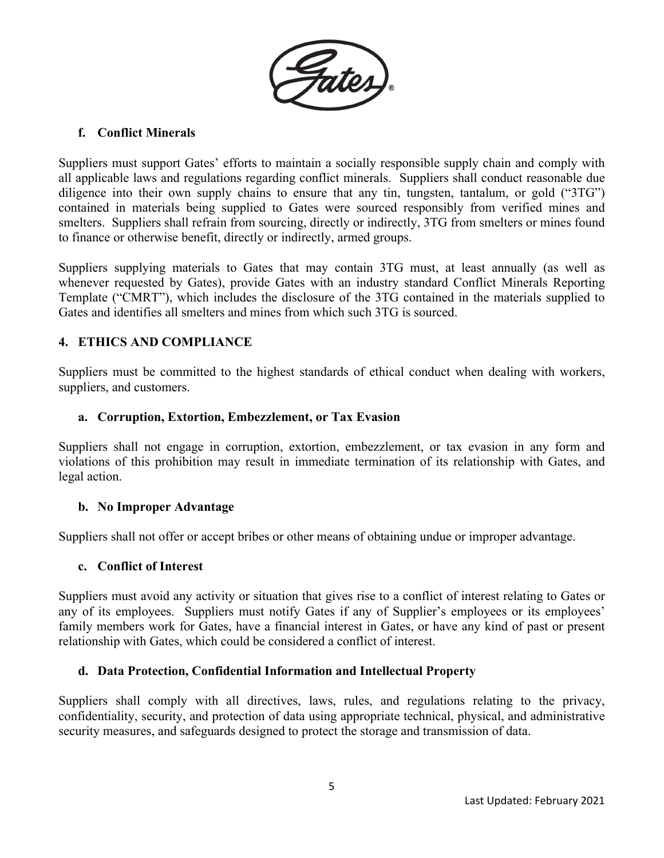

# **f. Conflict Minerals**

Suppliers must support Gates' efforts to maintain a socially responsible supply chain and comply with all applicable laws and regulations regarding conflict minerals. Suppliers shall conduct reasonable due diligence into their own supply chains to ensure that any tin, tungsten, tantalum, or gold ("3TG") contained in materials being supplied to Gates were sourced responsibly from verified mines and smelters. Suppliers shall refrain from sourcing, directly or indirectly, 3TG from smelters or mines found to finance or otherwise benefit, directly or indirectly, armed groups.

Suppliers supplying materials to Gates that may contain 3TG must, at least annually (as well as whenever requested by Gates), provide Gates with an industry standard Conflict Minerals Reporting Template ("CMRT"), which includes the disclosure of the 3TG contained in the materials supplied to Gates and identifies all smelters and mines from which such 3TG is sourced.

# **4. ETHICS AND COMPLIANCE**

Suppliers must be committed to the highest standards of ethical conduct when dealing with workers, suppliers, and customers.

# **a. Corruption, Extortion, Embezzlement, or Tax Evasion**

Suppliers shall not engage in corruption, extortion, embezzlement, or tax evasion in any form and violations of this prohibition may result in immediate termination of its relationship with Gates, and legal action.

# **b. No Improper Advantage**

Suppliers shall not offer or accept bribes or other means of obtaining undue or improper advantage.

#### **c. Conflict of Interest**

Suppliers must avoid any activity or situation that gives rise to a conflict of interest relating to Gates or any of its employees. Suppliers must notify Gates if any of Supplier's employees or its employees' family members work for Gates, have a financial interest in Gates, or have any kind of past or present relationship with Gates, which could be considered a conflict of interest.

# **d. Data Protection, Confidential Information and Intellectual Property**

Suppliers shall comply with all directives, laws, rules, and regulations relating to the privacy, confidentiality, security, and protection of data using appropriate technical, physical, and administrative security measures, and safeguards designed to protect the storage and transmission of data.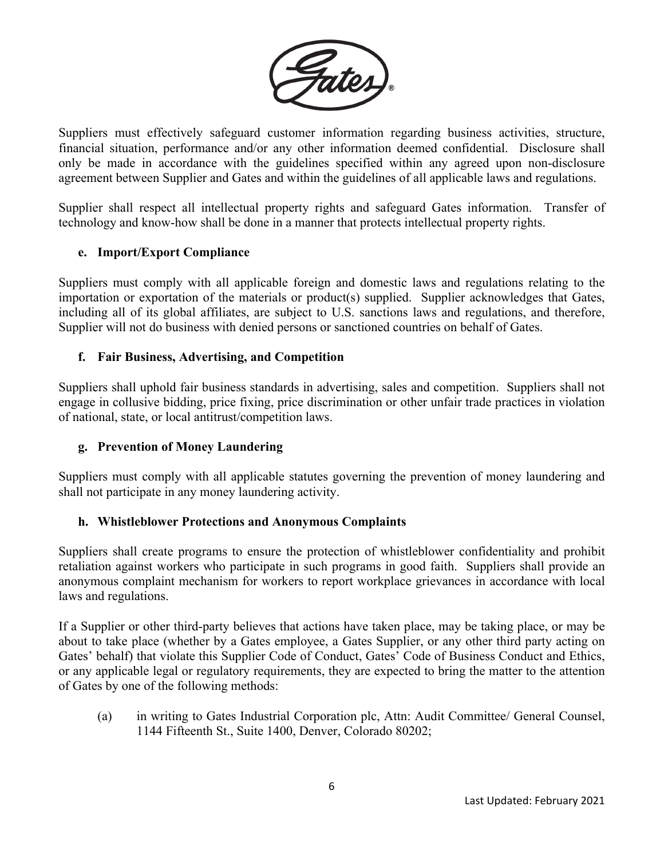

Suppliers must effectively safeguard customer information regarding business activities, structure, financial situation, performance and/or any other information deemed confidential. Disclosure shall only be made in accordance with the guidelines specified within any agreed upon non-disclosure agreement between Supplier and Gates and within the guidelines of all applicable laws and regulations.

Supplier shall respect all intellectual property rights and safeguard Gates information. Transfer of technology and know-how shall be done in a manner that protects intellectual property rights.

## **e. Import/Export Compliance**

Suppliers must comply with all applicable foreign and domestic laws and regulations relating to the importation or exportation of the materials or product(s) supplied. Supplier acknowledges that Gates, including all of its global affiliates, are subject to U.S. sanctions laws and regulations, and therefore, Supplier will not do business with denied persons or sanctioned countries on behalf of Gates.

## **f. Fair Business, Advertising, and Competition**

Suppliers shall uphold fair business standards in advertising, sales and competition. Suppliers shall not engage in collusive bidding, price fixing, price discrimination or other unfair trade practices in violation of national, state, or local antitrust/competition laws.

# **g. Prevention of Money Laundering**

Suppliers must comply with all applicable statutes governing the prevention of money laundering and shall not participate in any money laundering activity.

# **h. Whistleblower Protections and Anonymous Complaints**

Suppliers shall create programs to ensure the protection of whistleblower confidentiality and prohibit retaliation against workers who participate in such programs in good faith. Suppliers shall provide an anonymous complaint mechanism for workers to report workplace grievances in accordance with local laws and regulations.

If a Supplier or other third-party believes that actions have taken place, may be taking place, or may be about to take place (whether by a Gates employee, a Gates Supplier, or any other third party acting on Gates' behalf) that violate this Supplier Code of Conduct, Gates' Code of Business Conduct and Ethics, or any applicable legal or regulatory requirements, they are expected to bring the matter to the attention of Gates by one of the following methods:

(a) in writing to Gates Industrial Corporation plc, Attn: Audit Committee/ General Counsel, 1144 Fifteenth St., Suite 1400, Denver, Colorado 80202;